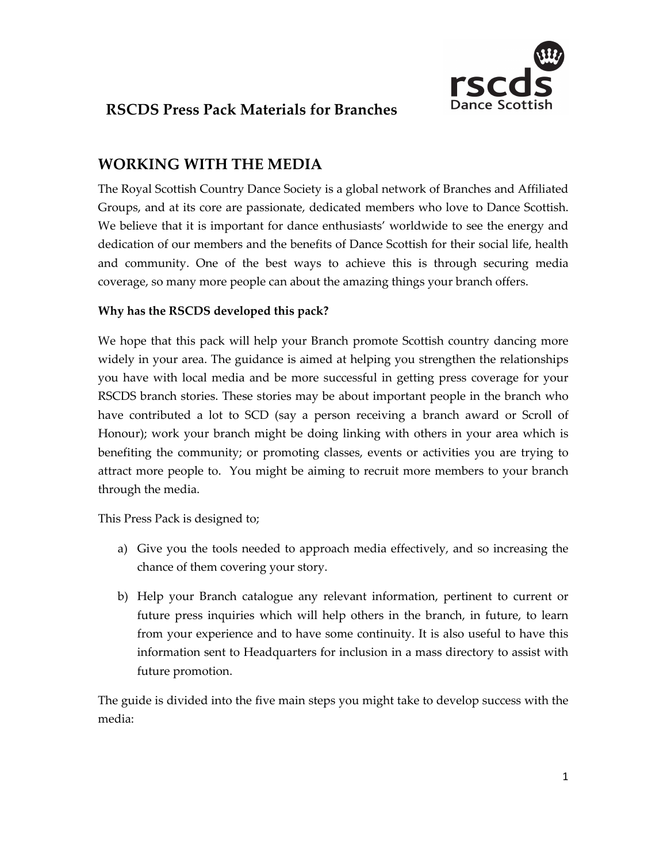

# **RSCDS Press Pack Materials for Branches**

# **WORKING WITH THE MEDIA**

The Royal Scottish Country Dance Society is a global network of Branches and Affiliated Groups, and at its core are passionate, dedicated members who love to Dance Scottish. We believe that it is important for dance enthusiasts' worldwide to see the energy and dedication of our members and the benefits of Dance Scottish for their social life, health and community. One of the best ways to achieve this is through securing media coverage, so many more people can about the amazing things your branch offers.

# **Why has the RSCDS developed this pack?**

We hope that this pack will help your Branch promote Scottish country dancing more widely in your area. The guidance is aimed at helping you strengthen the relationships you have with local media and be more successful in getting press coverage for your RSCDS branch stories. These stories may be about important people in the branch who have contributed a lot to SCD (say a person receiving a branch award or Scroll of Honour); work your branch might be doing linking with others in your area which is benefiting the community; or promoting classes, events or activities you are trying to attract more people to. You might be aiming to recruit more members to your branch through the media.

This Press Pack is designed to;

- a) Give you the tools needed to approach media effectively, and so increasing the chance of them covering your story.
- b) Help your Branch catalogue any relevant information, pertinent to current or future press inquiries which will help others in the branch, in future, to learn from your experience and to have some continuity. It is also useful to have this information sent to Headquarters for inclusion in a mass directory to assist with future promotion.

The guide is divided into the five main steps you might take to develop success with the media: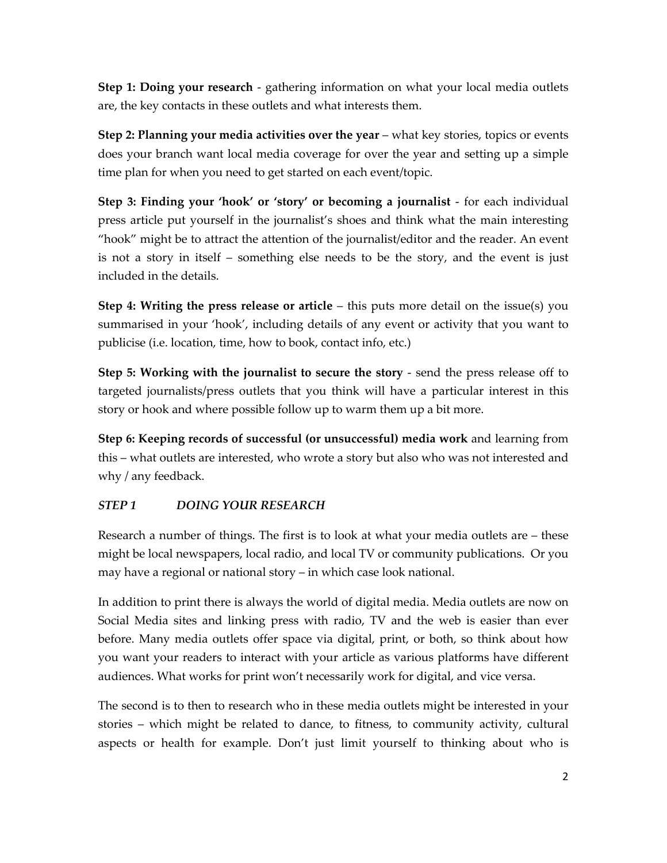**Step 1: Doing your research** - gathering information on what your local media outlets are, the key contacts in these outlets and what interests them.

**Step 2: Planning your media activities over the year** – what key stories, topics or events does your branch want local media coverage for over the year and setting up a simple time plan for when you need to get started on each event/topic.

**Step 3: Finding your 'hook' or 'story' or becoming a journalist** - for each individual press article put yourself in the journalist's shoes and think what the main interesting "hook" might be to attract the attention of the journalist/editor and the reader. An event is not a story in itself – something else needs to be the story, and the event is just included in the details.

**Step 4: Writing the press release or article** – this puts more detail on the issue(s) you summarised in your 'hook', including details of any event or activity that you want to publicise (i.e. location, time, how to book, contact info, etc.)

**Step 5: Working with the journalist to secure the story** - send the press release off to targeted journalists/press outlets that you think will have a particular interest in this story or hook and where possible follow up to warm them up a bit more.

**Step 6: Keeping records of successful (or unsuccessful) media work** and learning from this – what outlets are interested, who wrote a story but also who was not interested and why / any feedback.

# *STEP 1 DOING YOUR RESEARCH*

Research a number of things. The first is to look at what your media outlets are – these might be local newspapers, local radio, and local TV or community publications. Or you may have a regional or national story – in which case look national.

In addition to print there is always the world of digital media. Media outlets are now on Social Media sites and linking press with radio, TV and the web is easier than ever before. Many media outlets offer space via digital, print, or both, so think about how you want your readers to interact with your article as various platforms have different audiences. What works for print won't necessarily work for digital, and vice versa.

The second is to then to research who in these media outlets might be interested in your stories – which might be related to dance, to fitness, to community activity, cultural aspects or health for example. Don't just limit yourself to thinking about who is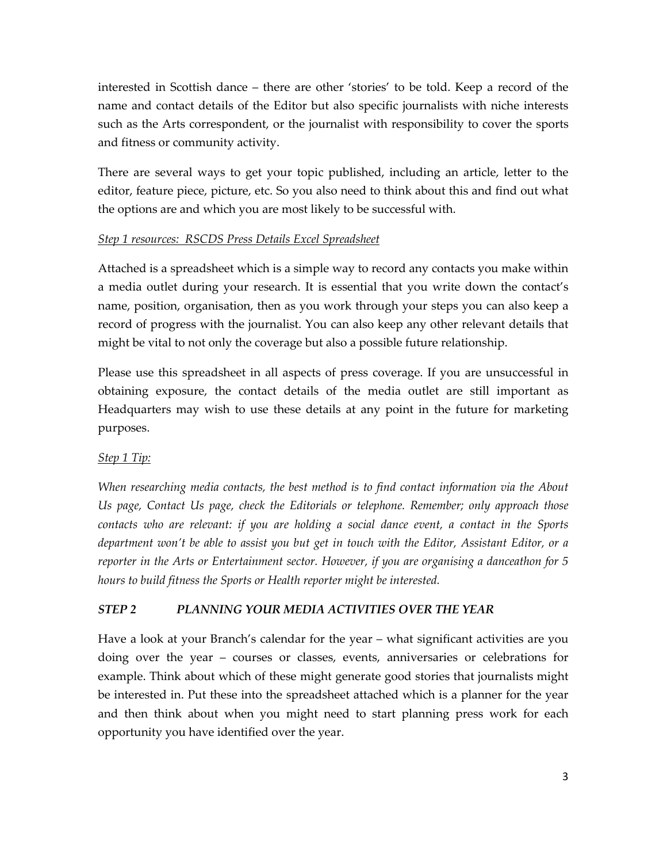interested in Scottish dance – there are other 'stories' to be told. Keep a record of the name and contact details of the Editor but also specific journalists with niche interests such as the Arts correspondent, or the journalist with responsibility to cover the sports and fitness or community activity.

There are several ways to get your topic published, including an article, letter to the editor, feature piece, picture, etc. So you also need to think about this and find out what the options are and which you are most likely to be successful with.

## *Step 1 resources: RSCDS Press Details Excel Spreadsheet*

Attached is a spreadsheet which is a simple way to record any contacts you make within a media outlet during your research. It is essential that you write down the contact's name, position, organisation, then as you work through your steps you can also keep a record of progress with the journalist. You can also keep any other relevant details that might be vital to not only the coverage but also a possible future relationship.

Please use this spreadsheet in all aspects of press coverage. If you are unsuccessful in obtaining exposure, the contact details of the media outlet are still important as Headquarters may wish to use these details at any point in the future for marketing purposes.

# *Step 1 Tip:*

*When researching media contacts, the best method is to find contact information via the About Us page, Contact Us page, check the Editorials or telephone. Remember; only approach those contacts who are relevant: if you are holding a social dance event, a contact in the Sports department won't be able to assist you but get in touch with the Editor, Assistant Editor, or a reporter in the Arts or Entertainment sector. However, if you are organising a danceathon for 5 hours to build fitness the Sports or Health reporter might be interested.*

# *STEP 2 PLANNING YOUR MEDIA ACTIVITIES OVER THE YEAR*

Have a look at your Branch's calendar for the year – what significant activities are you doing over the year – courses or classes, events, anniversaries or celebrations for example. Think about which of these might generate good stories that journalists might be interested in. Put these into the spreadsheet attached which is a planner for the year and then think about when you might need to start planning press work for each opportunity you have identified over the year.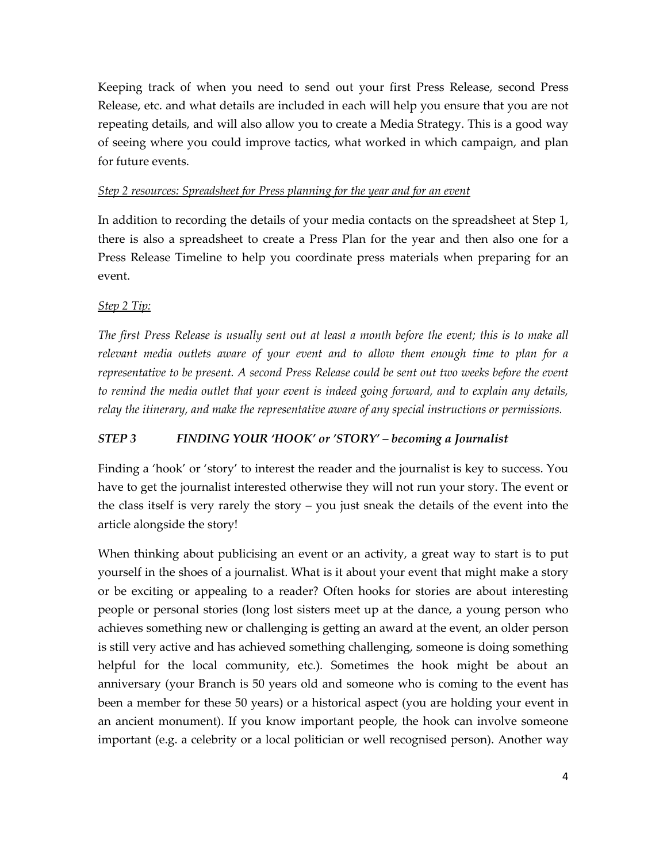Keeping track of when you need to send out your first Press Release, second Press Release, etc. and what details are included in each will help you ensure that you are not repeating details, and will also allow you to create a Media Strategy. This is a good way of seeing where you could improve tactics, what worked in which campaign, and plan for future events.

#### *Step 2 resources: Spreadsheet for Press planning for the year and for an event*

In addition to recording the details of your media contacts on the spreadsheet at Step 1, there is also a spreadsheet to create a Press Plan for the year and then also one for a Press Release Timeline to help you coordinate press materials when preparing for an event.

#### *Step 2 Tip:*

*The first Press Release is usually sent out at least a month before the event; this is to make all relevant media outlets aware of your event and to allow them enough time to plan for a representative to be present. A second Press Release could be sent out two weeks before the event to remind the media outlet that your event is indeed going forward, and to explain any details, relay the itinerary, and make the representative aware of any special instructions or permissions.* 

#### *STEP 3 FINDING YOUR 'HOOK' or 'STORY' – becoming a Journalist*

Finding a 'hook' or 'story' to interest the reader and the journalist is key to success. You have to get the journalist interested otherwise they will not run your story. The event or the class itself is very rarely the story – you just sneak the details of the event into the article alongside the story!

When thinking about publicising an event or an activity, a great way to start is to put yourself in the shoes of a journalist. What is it about your event that might make a story or be exciting or appealing to a reader? Often hooks for stories are about interesting people or personal stories (long lost sisters meet up at the dance, a young person who achieves something new or challenging is getting an award at the event, an older person is still very active and has achieved something challenging, someone is doing something helpful for the local community, etc.). Sometimes the hook might be about an anniversary (your Branch is 50 years old and someone who is coming to the event has been a member for these 50 years) or a historical aspect (you are holding your event in an ancient monument). If you know important people, the hook can involve someone important (e.g. a celebrity or a local politician or well recognised person). Another way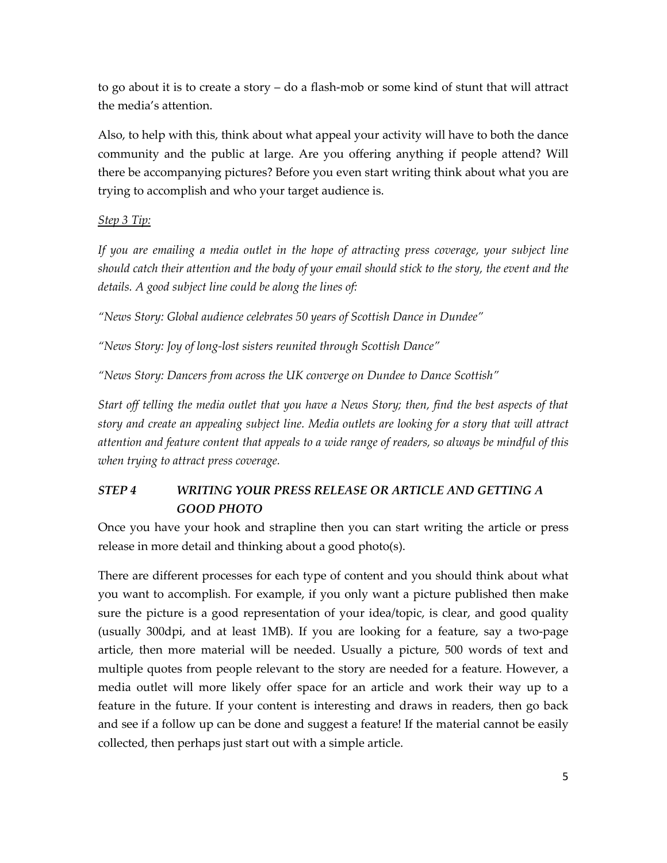to go about it is to create a story – do a flash-mob or some kind of stunt that will attract the media's attention.

Also, to help with this, think about what appeal your activity will have to both the dance community and the public at large. Are you offering anything if people attend? Will there be accompanying pictures? Before you even start writing think about what you are trying to accomplish and who your target audience is.

## *Step 3 Tip:*

*If you are emailing a media outlet in the hope of attracting press coverage, your subject line should catch their attention and the body of your email should stick to the story, the event and the details. A good subject line could be along the lines of:*

*"News Story: Global audience celebrates 50 years of Scottish Dance in Dundee"*

*"News Story: Joy of long-lost sisters reunited through Scottish Dance"*

*"News Story: Dancers from across the UK converge on Dundee to Dance Scottish"*

*Start off telling the media outlet that you have a News Story; then, find the best aspects of that story and create an appealing subject line. Media outlets are looking for a story that will attract attention and feature content that appeals to a wide range of readers, so always be mindful of this when trying to attract press coverage.* 

# *STEP 4 WRITING YOUR PRESS RELEASE OR ARTICLE AND GETTING A GOOD PHOTO*

Once you have your hook and strapline then you can start writing the article or press release in more detail and thinking about a good photo(s).

There are different processes for each type of content and you should think about what you want to accomplish. For example, if you only want a picture published then make sure the picture is a good representation of your idea/topic, is clear, and good quality (usually 300dpi, and at least 1MB). If you are looking for a feature, say a two-page article, then more material will be needed. Usually a picture, 500 words of text and multiple quotes from people relevant to the story are needed for a feature. However, a media outlet will more likely offer space for an article and work their way up to a feature in the future. If your content is interesting and draws in readers, then go back and see if a follow up can be done and suggest a feature! If the material cannot be easily collected, then perhaps just start out with a simple article.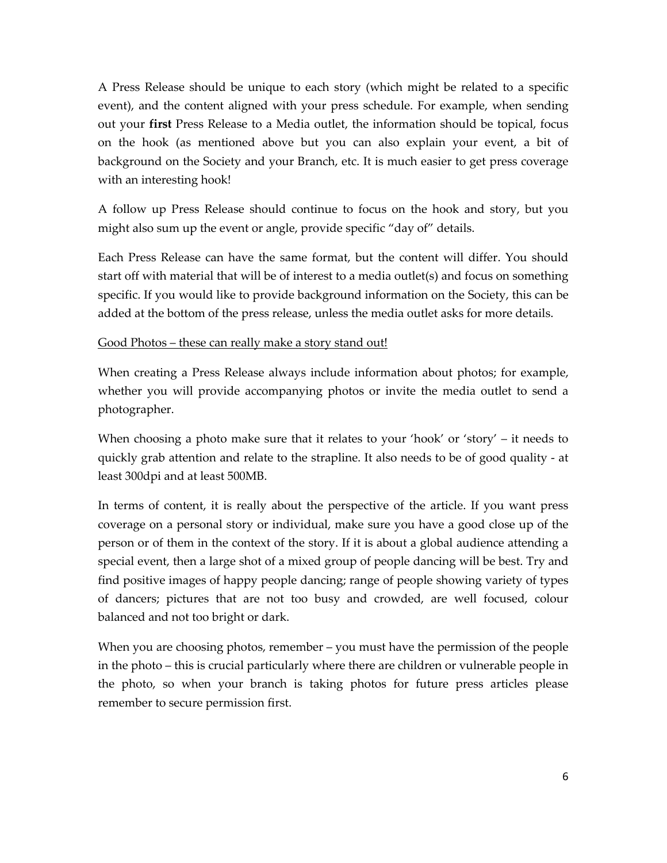A Press Release should be unique to each story (which might be related to a specific event), and the content aligned with your press schedule. For example, when sending out your **first** Press Release to a Media outlet, the information should be topical, focus on the hook (as mentioned above but you can also explain your event, a bit of background on the Society and your Branch, etc. It is much easier to get press coverage with an interesting hook!

A follow up Press Release should continue to focus on the hook and story, but you might also sum up the event or angle, provide specific "day of" details.

Each Press Release can have the same format, but the content will differ. You should start off with material that will be of interest to a media outlet(s) and focus on something specific. If you would like to provide background information on the Society, this can be added at the bottom of the press release, unless the media outlet asks for more details.

#### Good Photos – these can really make a story stand out!

When creating a Press Release always include information about photos; for example, whether you will provide accompanying photos or invite the media outlet to send a photographer.

When choosing a photo make sure that it relates to your 'hook' or 'story' – it needs to quickly grab attention and relate to the strapline. It also needs to be of good quality - at least 300dpi and at least 500MB.

In terms of content, it is really about the perspective of the article. If you want press coverage on a personal story or individual, make sure you have a good close up of the person or of them in the context of the story. If it is about a global audience attending a special event, then a large shot of a mixed group of people dancing will be best. Try and find positive images of happy people dancing; range of people showing variety of types of dancers; pictures that are not too busy and crowded, are well focused, colour balanced and not too bright or dark.

When you are choosing photos, remember – you must have the permission of the people in the photo – this is crucial particularly where there are children or vulnerable people in the photo, so when your branch is taking photos for future press articles please remember to secure permission first.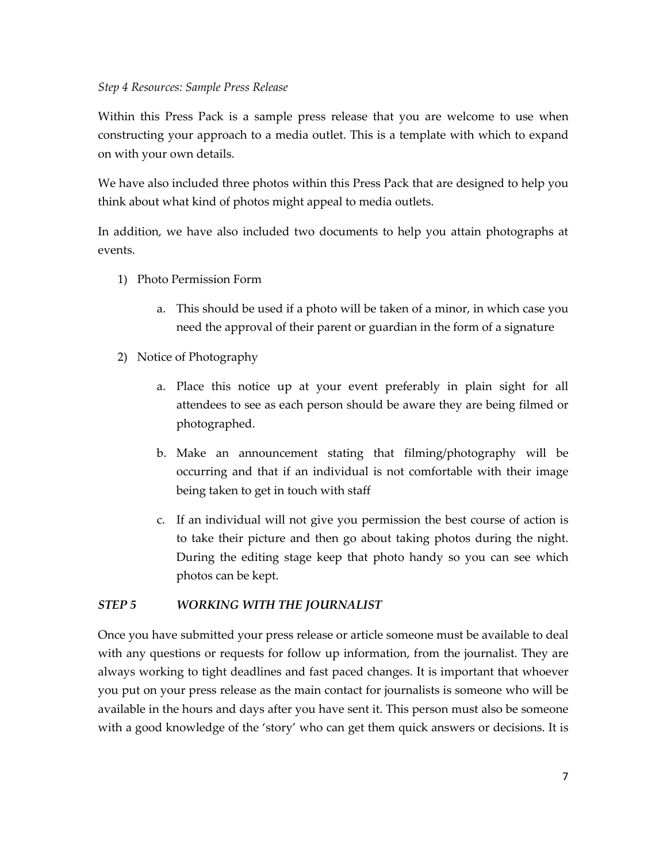Within this Press Pack is a sample press release that you are welcome to use when constructing your approach to a media outlet. This is a template with which to expand on with your own details.

We have also included three photos within this Press Pack that are designed to help you think about what kind of photos might appeal to media outlets.

In addition, we have also included two documents to help you attain photographs at events.

- 1) Photo Permission Form
	- a. This should be used if a photo will be taken of a minor, in which case you need the approval of their parent or guardian in the form of a signature
- 2) Notice of Photography
	- a. Place this notice up at your event preferably in plain sight for all attendees to see as each person should be aware they are being filmed or photographed.
	- b. Make an announcement stating that filming/photography will be occurring and that if an individual is not comfortable with their image being taken to get in touch with staff
	- c. If an individual will not give you permission the best course of action is to take their picture and then go about taking photos during the night. During the editing stage keep that photo handy so you can see which photos can be kept.

# *STEP 5 WORKING WITH THE JOURNALIST*

Once you have submitted your press release or article someone must be available to deal with any questions or requests for follow up information, from the journalist. They are always working to tight deadlines and fast paced changes. It is important that whoever you put on your press release as the main contact for journalists is someone who will be available in the hours and days after you have sent it. This person must also be someone with a good knowledge of the 'story' who can get them quick answers or decisions. It is